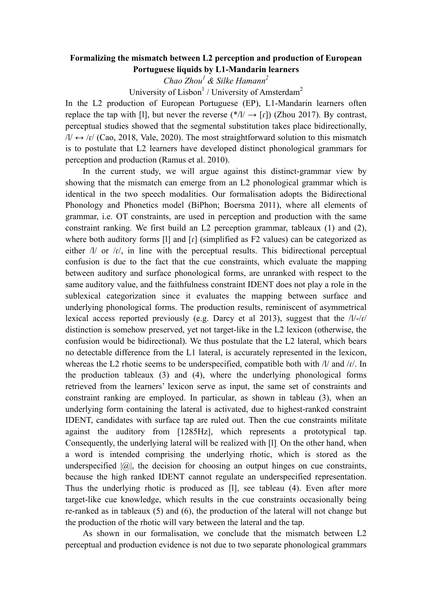## **Formalizing the mismatch between L2 perception and production of European Portuguese liquids by L1-Mandarin learners**

*Chao Zhou1 & Silke Hamann<sup>2</sup>*

University of Lisbon<sup>1</sup> / University of Amsterdam<sup>2</sup>

In the L2 production of European Portuguese (EP), L1-Mandarin learners often replace the tap with [I], but never the reverse  $(*/l) \rightarrow [r]$  (Zhou 2017). By contrast, perceptual studies showed that the segmental substitution takes place bidirectionally,  $/$ / $\rightarrow$  / $f$ / (Cao, 2018, Vale, 2020). The most straightforward solution to this mismatch is to postulate that L2 learners have developed distinct phonological grammars for perception and production (Ramus et al. 2010).

In the current study, we will argue against this distinct-grammar view by showing that the mismatch can emerge from an L2 phonological grammar which is identical in the two speech modalities. Our formalisation adopts the Bidirectional Phonology and Phonetics model (BiPhon; Boersma 2011), where all elements of grammar, i.e. OT constraints, are used in perception and production with the same constraint ranking. We first build an L2 perception grammar, tableaux (1) and (2), where both auditory forms [1] and  $\lceil$  (simplified as F2 values) can be categorized as either /l/ or /r/, in line with the perceptual results. This bidirectional perceptual confusion is due to the fact that the cue constraints, which evaluate the mapping between auditory and surface phonological forms, are unranked with respect to the same auditory value, and the faithfulness constraint IDENT does not play a role in the sublexical categorization since it evaluates the mapping between surface and underlying phonological forms. The production results, reminiscent of asymmetrical lexical access reported previously (e.g. Darcy et al 2013), suggest that the /l/-/ɾ/ distinction is somehow preserved, yet not target-like in the L2 lexicon (otherwise, the confusion would be bidirectional). We thus postulate that the L2 lateral, which bears no detectable difference from the L1 lateral, is accurately represented in the lexicon, whereas the L2 rhotic seems to be underspecified, compatible both with  $/V$  and  $/r$ . In the production tableaux (3) and (4), where the underlying phonological forms retrieved from the learners' lexicon serve as input, the same set of constraints and constraint ranking are employed. In particular, as shown in tableau (3), when an underlying form containing the lateral is activated, due to highest-ranked constraint IDENT, candidates with surface tap are ruled out. Then the cue constraints militate against the auditory from [1285Hz], which represents a prototypical tap. Consequently, the underlying lateral will be realized with [l]. On the other hand, when a word is intended comprising the underlying rhotic, which is stored as the underspecified  $|Q|$ , the decision for choosing an output hinges on cue constraints, because the high ranked IDENT cannot regulate an underspecified representation. Thus the underlying rhotic is produced as [l], see tableau (4). Even after more target-like cue knowledge, which results in the cue constraints occasionally being re-ranked as in tableaux (5) and (6), the production of the lateral will not change but the production of the rhotic will vary between the lateral and the tap.

As shown in our formalisation, we conclude that the mismatch between L2 perceptual and production evidence is not due to two separate phonological grammars